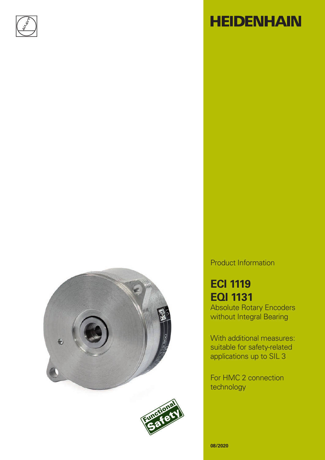

# **HEIDENHAIN**





### Product Information

## **ECI 1119 EQI 1131**

Absolute Rotary Encoders without Integral Bearing

With additional measures: suitable for safety-related applications up to SIL 3

For HMC 2 connection technology

**08/2020**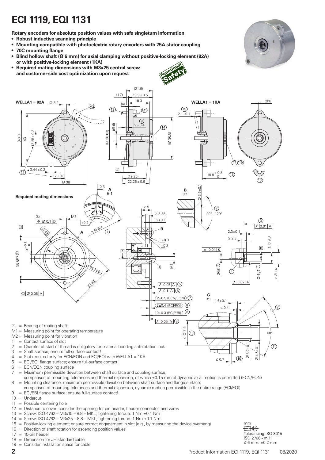## **ECI 1119, EQI 1131**

**Rotary encoders for absolute position values with safe singleturn information**

**• Robust inductive scanning principle**

**• Required mating dimensions with M3x25 central screw and customer-side cost optimization upon request**

- **• Mounting-compatible with photoelectric rotary encoders with 75A stator coupling**
- **• 70C mounting flange**
- **• Blind hollow shaft (Ø 6 mm) for axial clamping without positive-locking element (82A) or with positive-locking element (1KA)**
- 
- $(21.6)$  $(1.7)$  $19.9 \pm 0.5$ 18.3  $2h8$  $WELLA1 = 82A$  $WELLA1 = 1KA$  $\varnothing$ 3.2 M)  $(15)$ 13 ĺМ1  $2.1 \pm 0$ (8)  $\circ$  $\widehat{\omega}$  $2 \pm 0.4$ 14  $\bar{\mathbf{Q}}$  $12.55 \pm 0.3$  $(236.83)$ 36 5)  $(48.9)$  $\frac{1}{2}$ غ ë ₽  $(17)(19)$  $.44 \pm 0.3$  $(4)$  $19.9 + 0.8$  $12 \pm 0.8$  (18 (19.25)  $22.25 + 0.6$ 16 Ø  $0.3$  $5 ± 0.1$ A B  $5:1$  $3:1$ **Required mating dimensions**  $\overline{\wedge}$  $\geq 9$  $(2)$  $90^{\circ}$  ...  $120^{\circ}$  3.55 M3  $2+0.1$ ি  $\Theta$  0.1 D  $0.01$  A  $\overline{D}$  $2^{\circ}$ B  $\bigcap$  $2.3 \pm 0.$  $\geq$  Ø 9.3  $\geq 2.3$  $+0.3$ ē  $\geq 11$  $\sqrt{B}$  $\boxed{= 0.04 \, \text{B}}$ 36.8E7<sup> $\odot$ </sup>  $\odot$ E 2G8 Ø 14  $\varnothing$  6q7  $70.02$  A  $70.05$  A  $\circ$  $70.1$  A  $6$  $\circ$   $\circ$  0.06 A  $\frac{C}{3:1}$  $2\pm0.5$  (ECN/EQN)  $1.6 + 0.1$ ഭ 4 (FCI/FOI)  $\circled{2}$  $\leq 0.4$ C  $(0±0.3$  (ECI/EBI)  $70.05$  A  $\odot$  $\Box$  = Bearing of mating shaft  $\leq$  Ø 7.5 M1 = Measuring point for operating temperature  $\circledR$  $60^{\circ}$ M2 = Measuring point for vibration 1 = Contact surface of slot 2 = Chamfer at start of thread is obligatory for material bonding anti-rotation lock<br>  $\frac{3}{2}$  = Shaft surface: ensure full-surface contact l ෩  $24.5 + 0.$  $=$  Shaft surface; ensure full-surface contact!  $\overline{\circ}$ 4 = Slot required only for ECN/EQN and ECI/EQI with WELLA1 =  $1$ KA<br>5 = ECI/EQI flange surface; ensure full-surface contact!  $\circledcirc$  $\leq 0.7$ = ECI/EQI flange surface; ensure full-surface contact! 6 = ECN/EQN coupling surface 7 = Maximum permissible deviation between shaft surface and coupling surface;
- comparison of mounting tolerances and thermal expansion, of which  $\pm 0.15$  mm of dynamic axial motion is permitted (ECN/EQN) 8 = Mounting clearance, maximum permissible deviation between shaft surface and flange surface;
- comparison of mounting tolerances and thermal expansion; dynamic motion permissible in the entire range (ECI/EQI) 9 = ECI/EBI flange surface; ensure full-surface contact!
- 10 = Undercut
- 11 = Possible centering hole
- 12 = Distance to cover; consider the opening for pin header, header connector, and wires
- 13 = Screw: ISO 4762 M3x10 8.8 MKL; tightening torque: 1 Nm  $\pm$ 0.1 Nm
- 14 = Screw: ISO 4762 M3x25 8.8 MKL; tightening torque: 1 Nm  $\pm$ 0.1 Nm
- 15 = Positive-locking element; ensure correct engagement in slot (e.g., by measuring the device overhang)<br>16 = Direction of shaft rotation for ascending position values
- = Direction of shaft rotation for ascending position values
- $17 = 15$ -pin header
- 18 = Dimension for JH standard cable
- 19 = Consider installation space for cable



mm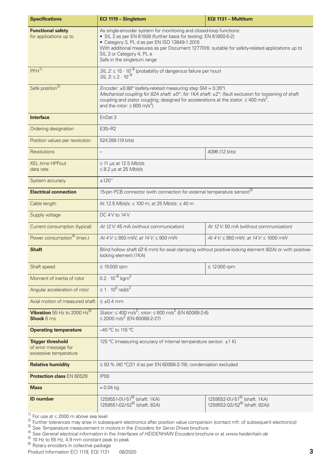| <b>Specifications</b>                                                     | ECI 1119 - Singletum                                                                                                                                                                                                                                                                                                                                                   | EQI 1131 - Multitum                                                                     |  |  |
|---------------------------------------------------------------------------|------------------------------------------------------------------------------------------------------------------------------------------------------------------------------------------------------------------------------------------------------------------------------------------------------------------------------------------------------------------------|-----------------------------------------------------------------------------------------|--|--|
| <b>Functional safety</b><br>for applications up to                        | As single-encoder system for monitoring and closed-loop functions:<br>• SIL 2 as per EN 61508 (further basis for testing: EN 61800-5-2)<br>• Category 3, PL d as per EN ISO 13849-1:2015<br>With additional measures as per Document 1277016: suitable for safety-related applications up to<br>SIL 3 or Category 4, PL e<br>Safe in the singleturn range              |                                                                                         |  |  |
| PFH <sup>1</sup>                                                          | SIL 2: $\leq$ 15 $\cdot$ 10 <sup>-9</sup> (probability of dangerous failure per hour)<br>SIL 3: $\leq$ 2 $\cdot$ 10 <sup>-9</sup>                                                                                                                                                                                                                                      |                                                                                         |  |  |
| Safe position <sup>2)</sup>                                               | Encoder: $\pm 0.88^\circ$ (safety-related measuring step SM = $0.35^\circ$ )<br>Mechanical coupling for 82A shaft: $\pm 0^{\circ}$ ; for 1KA shaft: $\pm 2^{\circ}$ ; (fault exclusion for loosening of shaft<br>coupling and stator coupling; designed for accelerations at the stator: $\leq 400$ m/s <sup>2</sup> ,<br>and the rotor: $\leq 600$ m/s <sup>2</sup> ) |                                                                                         |  |  |
| <b>Interface</b>                                                          | EnDat 3                                                                                                                                                                                                                                                                                                                                                                |                                                                                         |  |  |
| Ordering designation                                                      | E30-R2                                                                                                                                                                                                                                                                                                                                                                 |                                                                                         |  |  |
| Position values per revolution                                            | 524 288 (19 bits)                                                                                                                                                                                                                                                                                                                                                      |                                                                                         |  |  |
| <b>Revolutions</b>                                                        | $\overline{\phantom{0}}$                                                                                                                                                                                                                                                                                                                                               | 4096 (12 bits)                                                                          |  |  |
| <b>XEL.time HPFout</b><br>data rate                                       | $\leq$ 11 µs at 12.5 Mbit/s<br>$\leq$ 8.2 µs at 25 Mbit/s                                                                                                                                                                                                                                                                                                              |                                                                                         |  |  |
| System accuracy                                                           | ±120''                                                                                                                                                                                                                                                                                                                                                                 |                                                                                         |  |  |
| <b>Electrical connection</b>                                              | 15-pin PCB connector (with connection for external temperature sensor) <sup>3)</sup>                                                                                                                                                                                                                                                                                   |                                                                                         |  |  |
| Cable length                                                              | At 12.5 Mbit/s: $\leq 100$ m; at 25 Mbit/s: $\leq 40$ m                                                                                                                                                                                                                                                                                                                |                                                                                         |  |  |
| Supply voltage                                                            | DC 4 V to 14 V                                                                                                                                                                                                                                                                                                                                                         |                                                                                         |  |  |
| Current consumption (typical)                                             | At 12 V: 45 mA (without communication)                                                                                                                                                                                                                                                                                                                                 | At 12 V: 50 mA (without communication)                                                  |  |  |
| Power consumption <sup>4)</sup> (max.)                                    | At 4 V: $\leq$ 850 mW; at 14 V: $\leq$ 900 mW                                                                                                                                                                                                                                                                                                                          | At 4 V: $\leq$ 950 mW; at 14 V: $\leq$ 1000 mW                                          |  |  |
| <b>Shaft</b>                                                              | Blind hollow shaft (Ø 6 mm) for axial clamping without positive-locking element (82A) or with positive-<br>locking element (1KA)                                                                                                                                                                                                                                       |                                                                                         |  |  |
| Shaft speed                                                               | $\leq 15000$ rpm                                                                                                                                                                                                                                                                                                                                                       | $\leq 12000$ rpm                                                                        |  |  |
| Moment of inertia of rotor                                                | $0.2 \cdot 10^{-6}$ kgm <sup>2</sup>                                                                                                                                                                                                                                                                                                                                   |                                                                                         |  |  |
| Angular acceleration of rotor                                             | $\leq 1 \cdot 10^5$ rad/s <sup>2</sup>                                                                                                                                                                                                                                                                                                                                 |                                                                                         |  |  |
| Axial motion of measured shaft                                            | $\leq \pm 0.4$ mm                                                                                                                                                                                                                                                                                                                                                      |                                                                                         |  |  |
| Vibration 55 Hz to 2000 $Hz^{5}$<br><b>Shock 6 ms</b>                     | <i>Stator:</i> ≤ 400 m/s <sup>2</sup> ; <i>rotor:</i> ≤ 600 m/s <sup>2</sup> (EN 60068-2-6)<br>$\leq$ 2000 m/s <sup>2</sup> (EN 60068-2-27)                                                                                                                                                                                                                            |                                                                                         |  |  |
| <b>Operating temperature</b>                                              | -40 °C to 110 °C                                                                                                                                                                                                                                                                                                                                                       |                                                                                         |  |  |
| <b>Trigger threshold</b><br>of error message for<br>excessive temperature | 125 °C (measuring accuracy of internal temperature sensor: ±1 K)                                                                                                                                                                                                                                                                                                       |                                                                                         |  |  |
| <b>Relative humidity</b>                                                  | $\leq$ 93 % (40 °C/21 d as per EN 60068-2-78); condensation excluded                                                                                                                                                                                                                                                                                                   |                                                                                         |  |  |
| <b>Protection class EN 60529</b>                                          | IP <sub>00</sub>                                                                                                                                                                                                                                                                                                                                                       |                                                                                         |  |  |
| <b>Mass</b>                                                               | $\approx 0.04$ kg                                                                                                                                                                                                                                                                                                                                                      |                                                                                         |  |  |
| <b>ID</b> number                                                          | 1259551-01/-51 <sup>6)</sup> (shaft: 1KA)<br>1259551-02/-52 <sup>6)</sup> (shaft: 82A)                                                                                                                                                                                                                                                                                 | 1259552-01/-51 <sup>6)</sup> (shaft: 1KA)<br>1259552-02/-52 <sup>6)</sup> (shaft: 82A)) |  |  |

 $\frac{1}{2}$  For use at ≤ 2000 m above sea level

<sup>2)</sup> Further tolerances may arise in subsequent electronics after position value comparison (contact mfr. of subsequent electronics)<br><sup>3)</sup> See *Temperature measurement in motors* in the *Encoders for Servo Drives* brochure

4) See *General electrical information* in the *Interfaces of HEIDENHAIN Encoders* brochure or at *www.heidenhain.de*

 $^{5)}$  10 Hz to 55 Hz, 4.9 mm constant peak to peak<br><sup>6)</sup> Rotary encoders in collective package

Product Information ECI 1119, EQI 1131 08/2020 **3**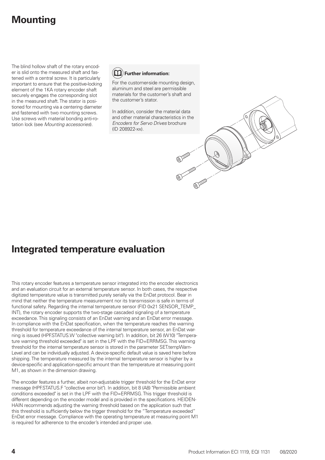## **Mounting**

The blind hollow shaft of the rotary encoder is slid onto the measured shaft and fastened with a central screw. It is particularly important to ensure that the positive-locking element of the 1KA rotary encoder shaft securely engages the corresponding slot in the measured shaft. The stator is positioned for mounting via a centering diameter and fastened with two mounting screws. Use screws with material bonding anti-rotation lock (see *Mounting accessories*).



For the customer-side mounting design, aluminum and steel are permissible materials for the customer's shaft and the customer's stator.

In addition, consider the material data and other material characteristics in the *Encoders for Servo Drives* brochure (ID 208922-xx).

### **Integrated temperature evaluation**

This rotary encoder features a temperature sensor integrated into the encoder electronics and an evaluation circuit for an external temperature sensor. In both cases, the respective digitized temperature value is transmitted purely serially via the EnDat protocol. Bear in mind that neither the temperature measurement nor its transmission is safe in terms of functional safety. Regarding the internal temperature sensor (FID 0x21 SENSOR\_TEMP\_ INT), the rotary encoder supports the two-stage cascaded signaling of a temperature exceedance. This signaling consists of an EnDat warning and an EnDat error message. In compliance with the EnDat specification, when the temperature reaches the warning threshold for temperature exceedance of the internal temperature sensor, an EnDat warning is issued (HPF.STATUS.W "collective warning bit"). In addition, bit 26 (W10) "Temperature warning threshold exceeded" is set in the LPF with the FID=ERRMSG. This warning threshold for the internal temperature sensor is stored in the parameter SET.tempWarn-Level and can be individually adjusted. A device-specific default value is saved here before shipping. The temperature measured by the internal temperature sensor is higher by a device-specific and application-specific amount than the temperature at measuring point M1, as shown in the dimension drawing.

The encoder features a further, albeit non-adjustable trigger threshold for the EnDat error message (HPF.STATUS.F "collective error bit"). In addition, bit 8 (A8) "Permissible ambient conditions exceeded" is set in the LPF with the FID=ERRMSG. This trigger threshold is different depending on the encoder model and is provided in the specifications. HEIDEN-HAIN recommends adjusting the warning threshold based on the application such that this threshold is sufficiently below the trigger threshold for the "Temperature exceeded" EnDat error message. Compliance with the operating temperature at measuring point M1 is required for adherence to the encoder's intended and proper use.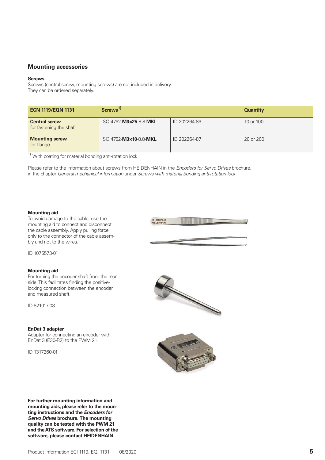#### **Mounting accessories**

#### **Screws**

Screws (central screw, mounting screws) are not included in delivery. They can be ordered separately.

| <b>ECN 1119/EQN 1131</b>                        | Screws <sup>1)</sup>   |              | <b>Quantity</b> |
|-------------------------------------------------|------------------------|--------------|-----------------|
| <b>Central screw</b><br>for fastening the shaft | ISO 4762-M3×25-8.8-MKL | ID 202264-86 | 10 or 100       |
| <b>Mounting screw</b><br>for flange             | ISO 4762-M3×10-8.8-MKL | ID 202264-87 | 20 or 200       |

 $1)$  With coating for material bonding anti-rotation lock

Please refer to the information about screws from HEIDENHAIN in the *Encoders for Servo Drives* brochure, in the chapter *General mechanical information* under *Screws with material bonding anti-rotation lock*.

#### **Mounting aid**

To avoid damage to the cable, use the mounting aid to connect and disconnect the cable assembly. Apply pulling force only to the connector of the cable assembly and not to the wires.

ID 1075573-0

ID 1075573-01

#### **Mounting aid**

For turning the encoder shaft from the rear side. This facilitates finding the positivelocking connection between the encoder and measured shaft.

ID 821017-03

#### **EnDat 3 adapter**

Adapter for connecting an encoder with EnDat 3 (E30-R2) to the PWM 21

ID 1317260-01





**For further mounting information and mounting aids, please refer to the mounting instructions and the** *Encoders for Servo Drives* **brochure. The mounting quality can be tested with the PWM 21 and the ATS software. For selection of the software, please contact HEIDENHAIN.**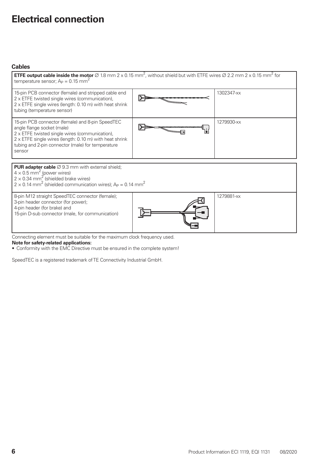## **Electrical connection**

#### **Cables**

| <b>ETFE output cable inside the motor</b> $\varnothing$ 1.8 mm 2 x 0.15 mm <sup>2</sup> , without shield but with ETFE wires $\varnothing$ 2.2 mm 2 x 0.15 mm <sup>2</sup> for<br>temperature sensor; $A_P = 0.15$ mm <sup>2</sup>                                                     |  |            |  |  |
|----------------------------------------------------------------------------------------------------------------------------------------------------------------------------------------------------------------------------------------------------------------------------------------|--|------------|--|--|
| 15-pin PCB connector (female) and stripped cable end<br>2 x ETFE twisted single wires (communication),<br>2 x ETFE single wires (length: 0.10 m) with heat shrink<br>tubing (temperature sensor)                                                                                       |  | 1302347-xx |  |  |
| 15-pin PCB connector (female) and 8-pin SpeedTEC<br>angle flange socket (male)<br>2 x ETFE twisted single wires (communication),<br>2 x ETFE single wires (length: 0.10 m) with heat shrink<br>tubing and 2-pin connector (male) for temperature<br>sensor                             |  | 1279930-xx |  |  |
|                                                                                                                                                                                                                                                                                        |  |            |  |  |
| <b>PUR adapter cable</b> $\varnothing$ 9.3 mm with external shield;<br>$4 \times 0.5$ mm <sup>2</sup> (power wires)<br>$2 \times 0.34$ mm <sup>2</sup> (shielded brake wires)<br>$2 \times 0.14$ mm <sup>2</sup> (shielded communication wires); A <sub>P</sub> = 0.14 mm <sup>2</sup> |  |            |  |  |
| 8-pin M12 straight SpeedTEC connector (female);<br>3-pin header connector (for power);<br>4-pin header (for brake) and<br>15-pin D-sub connector (male, for communication)                                                                                                             |  | 1279881-xx |  |  |

Connecting element must be suitable for the maximum clock frequency used.

#### **Note for safety-related applications:**

• Conformity with the EMC Directive must be ensured in the complete system!

SpeedTEC is a registered trademark of TE Connectivity Industrial GmbH.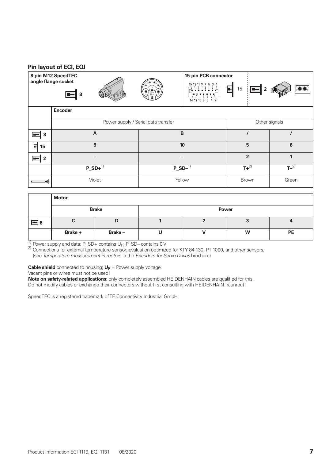#### **Pin layout of ECI, EQI**

**8**

**8-pin M12 SpeedTEC angle flange socket**









|          | <b>Encoder</b>   |                                     |                |       |
|----------|------------------|-------------------------------------|----------------|-------|
|          |                  | Power supply / Serial data transfer | Other signals  |       |
| $\Box$ 8 | A                | B                                   |                |       |
| 日 15     | 9                | 10                                  | 5              | 6     |
| $\Box$ 2 |                  |                                     | $\overline{2}$ |       |
|          | $P$ _SD+ $^{1)}$ | $P_{B}^{-}SD^{-1}$                  | $T + 2$        | $T-2$ |
|          | Violet           | Yellow                              | <b>Brown</b>   | Green |

 $2$  /  $\bigcirc$   $4$   $\setminus$  1 3 4

D A  $C^{\infty}$   $\mathcal{A}$  and  $\mathcal{A}$  by  $\mathcal{B}$ 

|            | <b>Motor</b> |               |              |  |   |           |
|------------|--------------|---------------|--------------|--|---|-----------|
|            |              | <b>Brake</b>  | <b>Power</b> |  |   |           |
| $\equiv$ 8 | ັ            | IJ            |              |  |   |           |
|            | Brake +      | <b>Brake-</b> |              |  | W | <b>PE</b> |

1) Power supply and data: P\_SD+ contains U<sub>P</sub>; P\_SD– contains 0 V<br><sup>2)</sup> Connections for external temperature sensor; evaluation optimized for KTY 84-130, PT 1000, and other sensors; (see *Temperature measurement in motors* in the *Encoders for Servo Drives* brochure)

**Cable shield** connected to housing;  $U_P$  = Power supply voltage

Vacant pins or wires must not be used!

**Note on safety-related applications:** only completely assembled HEIDENHAIN cables are qualified for this. Do not modify cables or exchange their connectors without first consulting with HEIDENHAIN Traunreut!

SpeedTEC is a registered trademark of TE Connectivity Industrial GmbH.